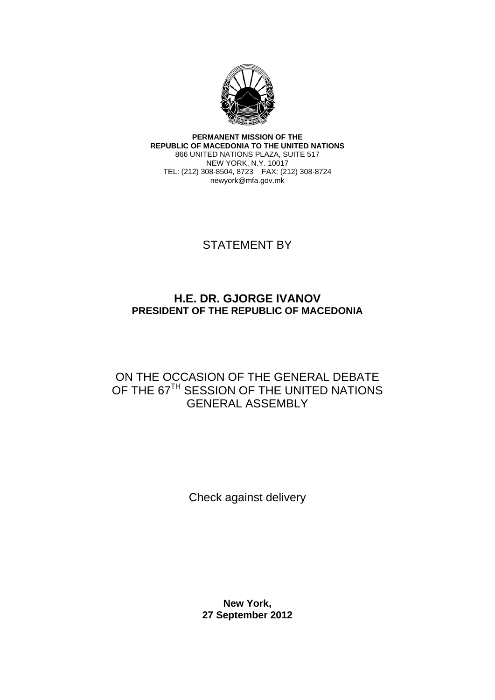

**PERMANENT MISSION OF THE REPUBLIC OF MACEDONIA TO THE UNITED NATIONS**  866 UNITED NATIONS PLAZA, SUITE 517 NEW YORK, N.Y. 10017 TEL: (212) 308-8504, 8723 FAX: (212) 308-8724 newyork@mfa.gov.mk

## STATEMENT BY

## **H.E. DR. GJORGE IVANOV PRESIDENT OF THE REPUBLIC OF MACEDONIA**

## ON THE OCCASION OF THE GENERAL DEBATE OF THE 67<sup>TH</sup> SESSION OF THE UNITED NATIONS GENERAL ASSEMBLY

Check against delivery

**New York, 27 September 2012**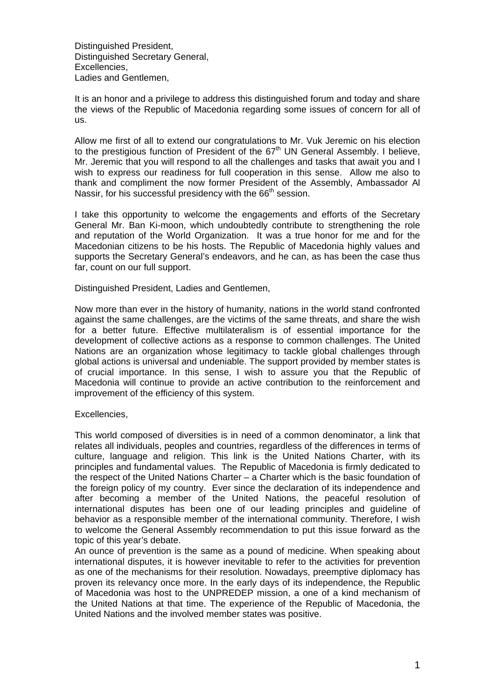Distinguished President, Distinguished Secretary General, Excellencies, Ladies and Gentlemen,

It is an honor and a privilege to address this distinguished forum and today and share the views of the Republic of Macedonia regarding some issues of concern for all of us.

Allow me first of all to extend our congratulations to Mr. Vuk Jeremic on his election to the prestigious function of President of the  $67<sup>th</sup>$  UN General Assembly. I believe, Mr. Jeremic that you will respond to all the challenges and tasks that await you and I wish to express our readiness for full cooperation in this sense. Allow me also to thank and compliment the now former President of the Assembly, Ambassador Al Nassir, for his successful presidency with the  $66<sup>th</sup>$  session.

I take this opportunity to welcome the engagements and efforts of the Secretary General Mr. Ban Ki-moon, which undoubtedly contribute to strengthening the role and reputation of the World Organization. It was a true honor for me and for the Macedonian citizens to be his hosts. The Republic of Macedonia highly values and supports the Secretary General's endeavors, and he can, as has been the case thus far, count on our full support.

Distinguished President, Ladies and Gentlemen,

Now more than ever in the history of humanity, nations in the world stand confronted against the same challenges, are the victims of the same threats, and share the wish for a better future. Effective multilateralism is of essential importance for the development of collective actions as a response to common challenges. The United Nations are an organization whose legitimacy to tackle global challenges through global actions is universal and undeniable. The support provided by member states is of crucial importance. In this sense, I wish to assure you that the Republic of Macedonia will continue to provide an active contribution to the reinforcement and improvement of the efficiency of this system.

## Excellencies,

This world composed of diversities is in need of a common denominator, a link that relates all individuals, peoples and countries, regardless of the differences in terms of culture, language and religion. This link is the United Nations Charter, with its principles and fundamental values. The Republic of Macedonia is firmly dedicated to the respect of the United Nations Charter – a Charter which is the basic foundation of the foreign policy of my country. Ever since the declaration of its independence and after becoming a member of the United Nations, the peaceful resolution of international disputes has been one of our leading principles and guideline of behavior as a responsible member of the international community. Therefore, I wish to welcome the General Assembly recommendation to put this issue forward as the topic of this year's debate.

An ounce of prevention is the same as a pound of medicine. When speaking about international disputes, it is however inevitable to refer to the activities for prevention as one of the mechanisms for their resolution. Nowadays, preemptive diplomacy has proven its relevancy once more. In the early days of its independence, the Republic of Macedonia was host to the UNPREDEP mission, a one of a kind mechanism of the United Nations at that time. The experience of the Republic of Macedonia, the United Nations and the involved member states was positive.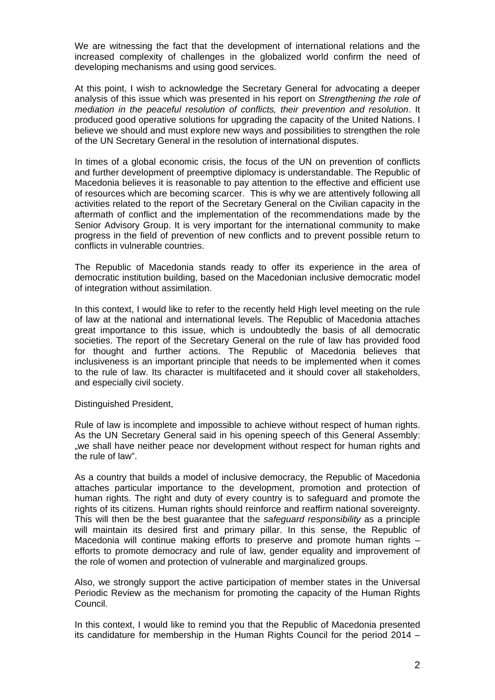We are witnessing the fact that the development of international relations and the increased complexity of challenges in the globalized world confirm the need of developing mechanisms and using good services.

At this point, I wish to acknowledge the Secretary General for advocating a deeper analysis of this issue which was presented in his report on *Strengthening the role of mediation in the peaceful resolution of conflicts, their prevention and resolution*. It produced good operative solutions for upgrading the capacity of the United Nations. I believe we should and must explore new ways and possibilities to strengthen the role of the UN Secretary General in the resolution of international disputes.

In times of a global economic crisis, the focus of the UN on prevention of conflicts and further development of preemptive diplomacy is understandable. The Republic of Macedonia believes it is reasonable to pay attention to the effective and efficient use of resources which are becoming scarcer. This is why we are attentively following all activities related to the report of the Secretary General on the Civilian capacity in the aftermath of conflict and the implementation of the recommendations made by the Senior Advisory Group. It is very important for the international community to make progress in the field of prevention of new conflicts and to prevent possible return to conflicts in vulnerable countries.

The Republic of Macedonia stands ready to offer its experience in the area of democratic institution building, based on the Macedonian inclusive democratic model of integration without assimilation.

In this context, I would like to refer to the recently held High level meeting on the rule of law at the national and international levels. The Republic of Macedonia attaches great importance to this issue, which is undoubtedly the basis of all democratic societies. The report of the Secretary General on the rule of law has provided food for thought and further actions. The Republic of Macedonia believes that inclusiveness is an important principle that needs to be implemented when it comes to the rule of law. Its character is multifaceted and it should cover all stakeholders, and especially civil society.

Distinguished President,

Rule of law is incomplete and impossible to achieve without respect of human rights. As the UN Secretary General said in his opening speech of this General Assembly: "we shall have neither peace nor development without respect for human rights and the rule of law".

As a country that builds a model of inclusive democracy, the Republic of Macedonia attaches particular importance to the development, promotion and protection of human rights. The right and duty of every country is to safeguard and promote the rights of its citizens. Human rights should reinforce and reaffirm national sovereignty. This will then be the best guarantee that the *safeguard responsibility* as a principle will maintain its desired first and primary pillar. In this sense, the Republic of Macedonia will continue making efforts to preserve and promote human rights – efforts to promote democracy and rule of law, gender equality and improvement of the role of women and protection of vulnerable and marginalized groups.

Also, we strongly support the active participation of member states in the Universal Periodic Review as the mechanism for promoting the capacity of the Human Rights Council.

In this context, I would like to remind you that the Republic of Macedonia presented its candidature for membership in the Human Rights Council for the period 2014 –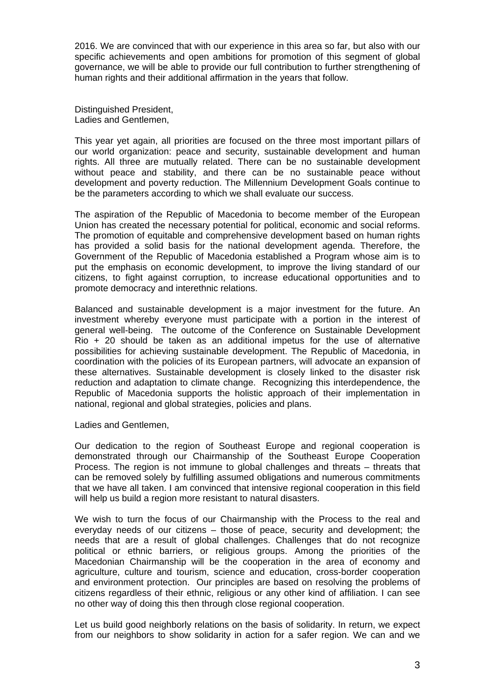2016. We are convinced that with our experience in this area so far, but also with our specific achievements and open ambitions for promotion of this segment of global governance, we will be able to provide our full contribution to further strengthening of human rights and their additional affirmation in the years that follow.

Distinguished President, Ladies and Gentlemen,

This year yet again, all priorities are focused on the three most important pillars of our world organization: peace and security, sustainable development and human rights. All three are mutually related. There can be no sustainable development without peace and stability, and there can be no sustainable peace without development and poverty reduction. The Millennium Development Goals continue to be the parameters according to which we shall evaluate our success.

The aspiration of the Republic of Macedonia to become member of the European Union has created the necessary potential for political, economic and social reforms. The promotion of equitable and comprehensive development based on human rights has provided a solid basis for the national development agenda. Therefore, the Government of the Republic of Macedonia established a Program whose aim is to put the emphasis on economic development, to improve the living standard of our citizens, to fight against corruption, to increase educational opportunities and to promote democracy and interethnic relations.

Balanced and sustainable development is a major investment for the future. An investment whereby everyone must participate with a portion in the interest of general well-being. The outcome of the Conference on Sustainable Development Rio + 20 should be taken as an additional impetus for the use of alternative possibilities for achieving sustainable development. The Republic of Macedonia, in coordination with the policies of its European partners, will advocate an expansion of these alternatives. Sustainable development is closely linked to the disaster risk reduction and adaptation to climate change. Recognizing this interdependence, the Republic of Macedonia supports the holistic approach of their implementation in national, regional and global strategies, policies and plans.

Ladies and Gentlemen,

Our dedication to the region of Southeast Europe and regional cooperation is demonstrated through our Chairmanship of the Southeast Europe Cooperation Process. The region is not immune to global challenges and threats – threats that can be removed solely by fulfilling assumed obligations and numerous commitments that we have all taken. I am convinced that intensive regional cooperation in this field will help us build a region more resistant to natural disasters.

We wish to turn the focus of our Chairmanship with the Process to the real and everyday needs of our citizens – those of peace, security and development; the needs that are a result of global challenges. Challenges that do not recognize political or ethnic barriers, or religious groups. Among the priorities of the Macedonian Chairmanship will be the cooperation in the area of economy and agriculture, culture and tourism, science and education, cross-border cooperation and environment protection. Our principles are based on resolving the problems of citizens regardless of their ethnic, religious or any other kind of affiliation. I can see no other way of doing this then through close regional cooperation.

Let us build good neighborly relations on the basis of solidarity. In return, we expect from our neighbors to show solidarity in action for a safer region. We can and we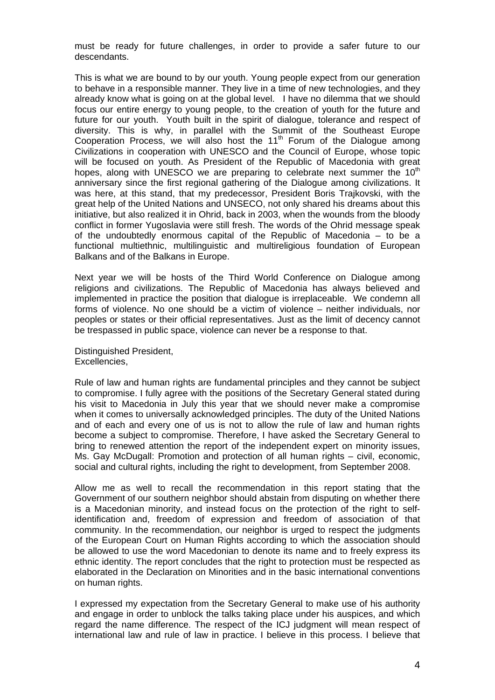must be ready for future challenges, in order to provide a safer future to our descendants.

This is what we are bound to by our youth. Young people expect from our generation to behave in a responsible manner. They live in a time of new technologies, and they already know what is going on at the global level. I have no dilemma that we should focus our entire energy to young people, to the creation of youth for the future and future for our youth. Youth built in the spirit of dialogue, tolerance and respect of diversity. This is why, in parallel with the Summit of the Southeast Europe Cooperation Process, we will also host the  $11<sup>th</sup>$  Forum of the Dialogue among Civilizations in cooperation with UNESCO and the Council of Europe, whose topic will be focused on youth. As President of the Republic of Macedonia with great hopes, along with UNESCO we are preparing to celebrate next summer the 10<sup>th</sup> anniversary since the first regional gathering of the Dialogue among civilizations. It was here, at this stand, that my predecessor, President Boris Trajkovski, with the great help of the United Nations and UNSECO, not only shared his dreams about this initiative, but also realized it in Ohrid, back in 2003, when the wounds from the bloody conflict in former Yugoslavia were still fresh. The words of the Ohrid message speak of the undoubtedly enormous capital of the Republic of Macedonia – to be a functional multiethnic, multilinguistic and multireligious foundation of European Balkans and of the Balkans in Europe.

Next year we will be hosts of the Third World Conference on Dialogue among religions and civilizations. The Republic of Macedonia has always believed and implemented in practice the position that dialogue is irreplaceable. We condemn all forms of violence. No one should be a victim of violence – neither individuals, nor peoples or states or their official representatives. Just as the limit of decency cannot be trespassed in public space, violence can never be a response to that.

Distinguished President, Excellencies,

Rule of law and human rights are fundamental principles and they cannot be subject to compromise. I fully agree with the positions of the Secretary General stated during his visit to Macedonia in July this year that we should never make a compromise when it comes to universally acknowledged principles. The duty of the United Nations and of each and every one of us is not to allow the rule of law and human rights become a subject to compromise. Therefore, I have asked the Secretary General to bring to renewed attention the report of the independent expert on minority issues, Ms. Gay McDugall: Promotion and protection of all human rights – civil, economic, social and cultural rights, including the right to development, from September 2008.

Allow me as well to recall the recommendation in this report stating that the Government of our southern neighbor should abstain from disputing on whether there is a Macedonian minority, and instead focus on the protection of the right to selfidentification and, freedom of expression and freedom of association of that community. In the recommendation, our neighbor is urged to respect the judgments of the European Court on Human Rights according to which the association should be allowed to use the word Macedonian to denote its name and to freely express its ethnic identity. The report concludes that the right to protection must be respected as elaborated in the Declaration on Minorities and in the basic international conventions on human rights.

I expressed my expectation from the Secretary General to make use of his authority and engage in order to unblock the talks taking place under his auspices, and which regard the name difference. The respect of the ICJ judgment will mean respect of international law and rule of law in practice. I believe in this process. I believe that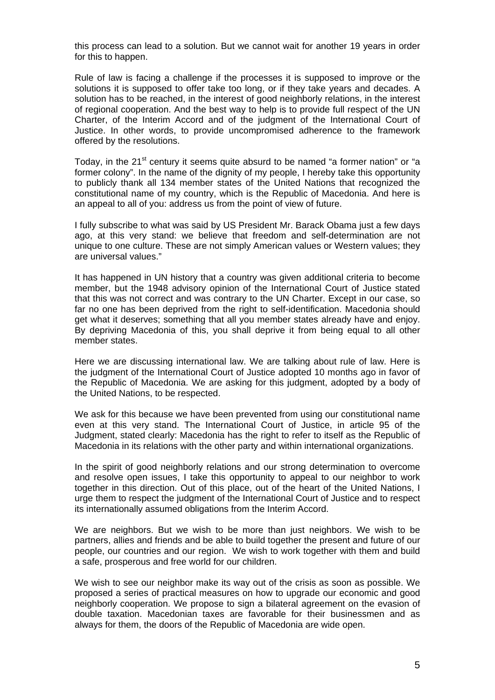this process can lead to a solution. But we cannot wait for another 19 years in order for this to happen.

Rule of law is facing a challenge if the processes it is supposed to improve or the solutions it is supposed to offer take too long, or if they take years and decades. A solution has to be reached, in the interest of good neighborly relations, in the interest of regional cooperation. And the best way to help is to provide full respect of the UN Charter, of the Interim Accord and of the judgment of the International Court of Justice. In other words, to provide uncompromised adherence to the framework offered by the resolutions.

Today, in the 21<sup>st</sup> century it seems quite absurd to be named "a former nation" or "a former colony". In the name of the dignity of my people. I hereby take this opportunity to publicly thank all 134 member states of the United Nations that recognized the constitutional name of my country, which is the Republic of Macedonia. And here is an appeal to all of you: address us from the point of view of future.

I fully subscribe to what was said by US President Mr. Barack Obama just a few days ago, at this very stand: we believe that freedom and self-determination are not unique to one culture. These are not simply American values or Western values; they are universal values."

It has happened in UN history that a country was given additional criteria to become member, but the 1948 advisory opinion of the International Court of Justice stated that this was not correct and was contrary to the UN Charter. Except in our case, so far no one has been deprived from the right to self-identification. Macedonia should get what it deserves; something that all you member states already have and enjoy. By depriving Macedonia of this, you shall deprive it from being equal to all other member states.

Here we are discussing international law. We are talking about rule of law. Here is the judgment of the International Court of Justice adopted 10 months ago in favor of the Republic of Macedonia. We are asking for this judgment, adopted by a body of the United Nations, to be respected.

We ask for this because we have been prevented from using our constitutional name even at this very stand. The International Court of Justice, in article 95 of the Judgment, stated clearly: Macedonia has the right to refer to itself as the Republic of Macedonia in its relations with the other party and within international organizations.

In the spirit of good neighborly relations and our strong determination to overcome and resolve open issues, I take this opportunity to appeal to our neighbor to work together in this direction. Out of this place, out of the heart of the United Nations, I urge them to respect the judgment of the International Court of Justice and to respect its internationally assumed obligations from the Interim Accord.

We are neighbors. But we wish to be more than just neighbors. We wish to be partners, allies and friends and be able to build together the present and future of our people, our countries and our region. We wish to work together with them and build a safe, prosperous and free world for our children.

We wish to see our neighbor make its way out of the crisis as soon as possible. We proposed a series of practical measures on how to upgrade our economic and good neighborly cooperation. We propose to sign a bilateral agreement on the evasion of double taxation. Macedonian taxes are favorable for their businessmen and as always for them, the doors of the Republic of Macedonia are wide open.